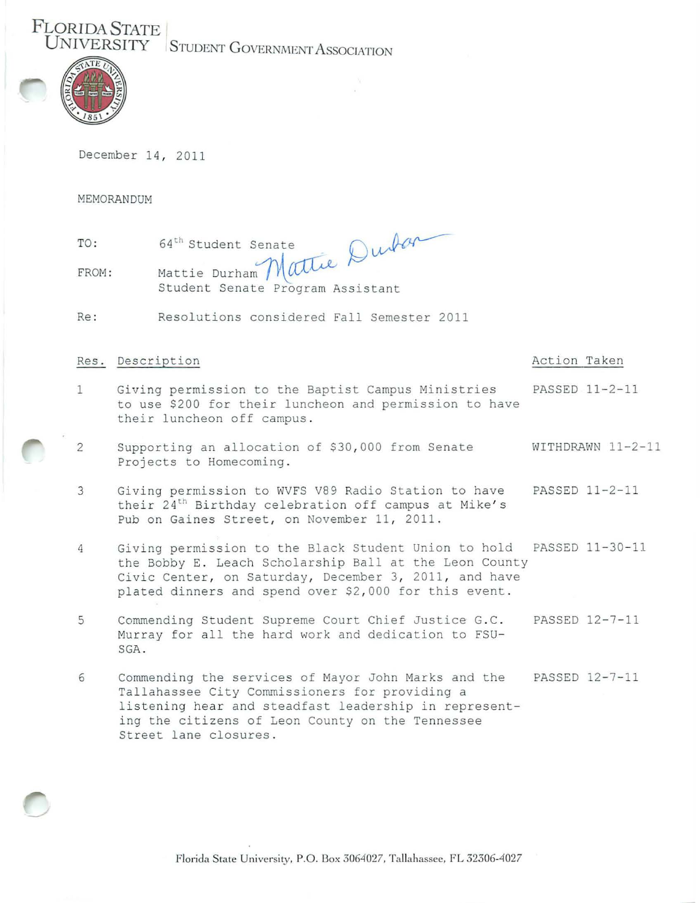**UNIVERSITY** STUDENT GOVERNMENT ASSOCIATION



**F LORIDA STATE** 

December 14, 2011

MEMORANDUM

| TO:   | 64 <sup>th</sup> Student Senate  |
|-------|----------------------------------|
| FROM: | Mattie Durham Mattie!            |
|       | Student Senate Program Assistant |

Re : Resolutions considered Fall Semester 2011

## Res. Description  $\blacksquare$

- 1 Giving permission to the Baptist Campus Ministries PASSED 11-2-11 to use \$200 for their luncheon and permission to have their luncheon off campus .
- 2 Supporting an allocation of \$30,000 from Senate WITHDRAWN 11-2-11 Projects to Homecoming.
- 3 Giving permission to WVFS V89 Radio Station to have PASSED 11-2-11 their  $24<sup>th</sup>$  Birthday celebration off campus at Mike's Pub on Gaines Street, on November 11, 2011.
- 4 Giving permission to the Black Student Union to hold PASSED 11-30-11 the Bobby E. Leach Scholarship Ball at the Leon County Civic Center, on Saturday, December 3, 2011, and have plated dinners and spend over \$2,000 for this event.
- 5 Commending Student Supreme Court Chief Justice G.C. PASSED 12-7-11 Murray for all the hard work and dedication to FSU-SGA .
- 6 Commending the services of Mayor John Marks and the PASSED 12-7-11 Tallahassee City Commissioners for providing a listening hear and steadfast leadership in representing the citizens of Leon County on the Tennessee Street lane closures .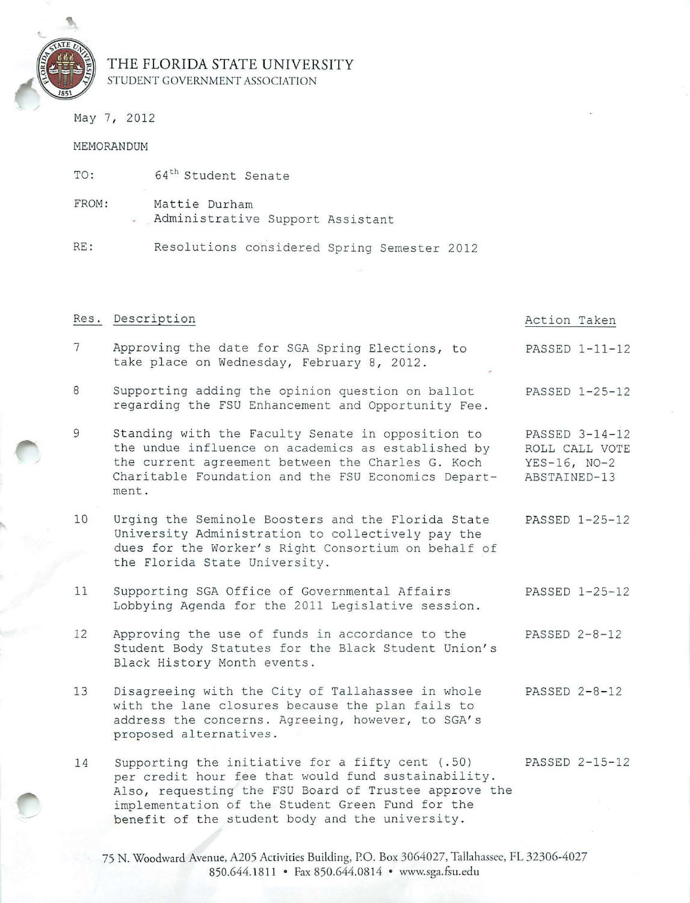

## **THE FLORIDA STATE UNIVERSITY**  STUDENT GOVERNMENT ASSOCIATION

Administrative Support Assistant

RE: Resolutions considered Spring Semester 2012

TO: 64<sup>th</sup> Student Senate

FROM: Mattie Durham

May 7, 2012

## MEMORANDUM

|                 | Res. Description                                                                                                                                                                                                             | Action Taken                                                       |
|-----------------|------------------------------------------------------------------------------------------------------------------------------------------------------------------------------------------------------------------------------|--------------------------------------------------------------------|
| $7\overline{ }$ | Approving the date for SGA Spring Elections, to<br>take place on Wednesday, February 8, 2012.                                                                                                                                | PASSED 1-11-12                                                     |
| 8               | Supporting adding the opinion question on ballot<br>regarding the FSU Enhancement and Opportunity Fee.                                                                                                                       | PASSED 1-25-12                                                     |
| 9               | Standing with the Faculty Senate in opposition to<br>the undue influence on academics as established by<br>the current agreement between the Charles G. Koch<br>Charitable Foundation and the FSU Economics Depart-<br>ment. | PASSED 3-14-12<br>ROLL CALL VOTE<br>$YES-16, NO-2$<br>ABSTAINED-13 |
| 10              | Urging the Seminole Boosters and the Florida State<br>University Administration to collectively pay the<br>dues for the Worker's Right Consortium on behalf of<br>the Florida State University.                              | PASSED 1-25-12                                                     |
| 11              | Supporting SGA Office of Governmental Affairs<br>Lobbying Agenda for the 2011 Legislative session.                                                                                                                           | PASSED 1-25-12                                                     |
| 12              | Approving the use of funds in accordance to the<br>Student Body Statutes for the Black Student Union's<br>Black History Month events.                                                                                        | PASSED 2-8-12                                                      |
| 13              | Disagreeing with the City of Tallahassee in whole<br>with the lane closures because the plan fails to                                                                                                                        | PASSED 2-8-12                                                      |

14 Supporting the initiative for a fifty cent (.50) PASSED 2-15-12 per credit hour fee that would fund sustainability. Also, requesting the FSU Board of Trustee approve the implementation of the Student Green Fund for the benefit of the student body and the university.

address the concerns. Agreeing, however, to SGA's

proposed alternatives.

75 N. Woodward Avenue, A205 Activities Building, P.O. Box 3064027, Tallahassee, FL 32306-4027 850.644.1811 • Fax 850.644.0814 • www.sga.fsu.edu